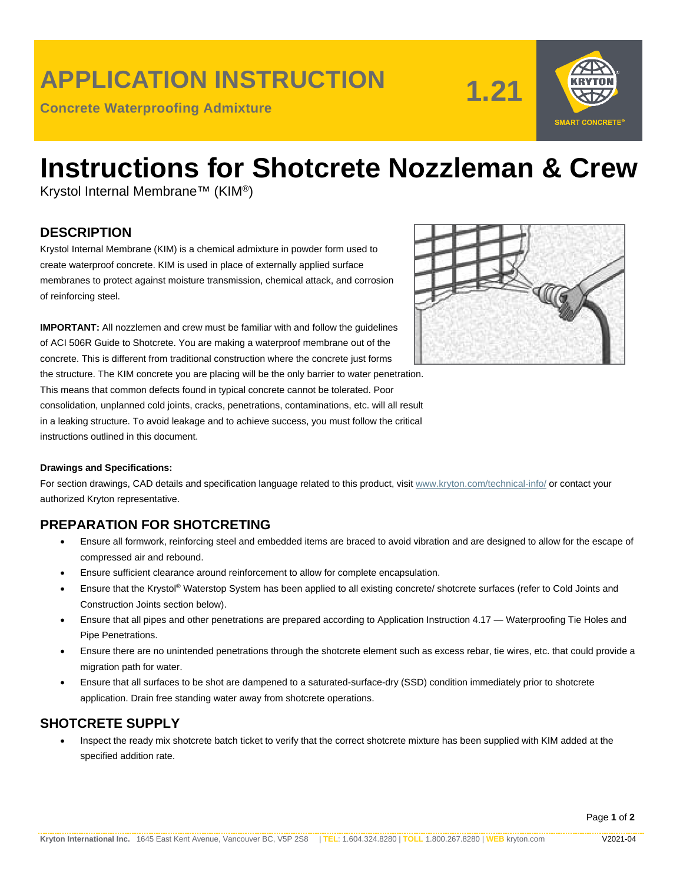## **APPLICATION INSTRUCTION**

**Concrete Waterproofing Admixture**





# **Instructions for Shotcrete Nozzleman & Crew**

Krystol Internal Membrane™ (KIM®)

#### **DESCRIPTION**

Krystol Internal Membrane (KIM) is a chemical admixture in powder form used to create waterproof concrete. KIM is used in place of externally applied surface membranes to protect against moisture transmission, chemical attack, and corrosion of reinforcing steel.

**IMPORTANT:** All nozzlemen and crew must be familiar with and follow the guidelines of ACI 506R Guide to Shotcrete. You are making a waterproof membrane out of the concrete. This is different from traditional construction where the concrete just forms the structure. The KIM concrete you are placing will be the only barrier to water penetration. This means that common defects found in typical concrete cannot be tolerated. Poor

consolidation, unplanned cold joints, cracks, penetrations, contaminations, etc. will all result in a leaking structure. To avoid leakage and to achieve success, you must follow the critical instructions outlined in this document.



#### **Drawings and Specifications:**

For section drawings, CAD details and specification language related to this product, visit [www.kryton.com/technical-info/](http://www.kryton.com/technical-info/) or contact your authorized Kryton representative.

#### **PREPARATION FOR SHOTCRETING**

- Ensure all formwork, reinforcing steel and embedded items are braced to avoid vibration and are designed to allow for the escape of compressed air and rebound.
- Ensure sufficient clearance around reinforcement to allow for complete encapsulation.
- Ensure that the Krystol® Waterstop System has been applied to all existing concrete/ shotcrete surfaces (refer to Cold Joints and Construction Joints section below).
- Ensure that all pipes and other penetrations are prepared according to Application Instruction 4.17 Waterproofing Tie Holes and Pipe Penetrations.
- Ensure there are no unintended penetrations through the shotcrete element such as excess rebar, tie wires, etc. that could provide a migration path for water.
- Ensure that all surfaces to be shot are dampened to a saturated-surface-dry (SSD) condition immediately prior to shotcrete application. Drain free standing water away from shotcrete operations.

#### **SHOTCRETE SUPPLY**

• Inspect the ready mix shotcrete batch ticket to verify that the correct shotcrete mixture has been supplied with KIM added at the specified addition rate.